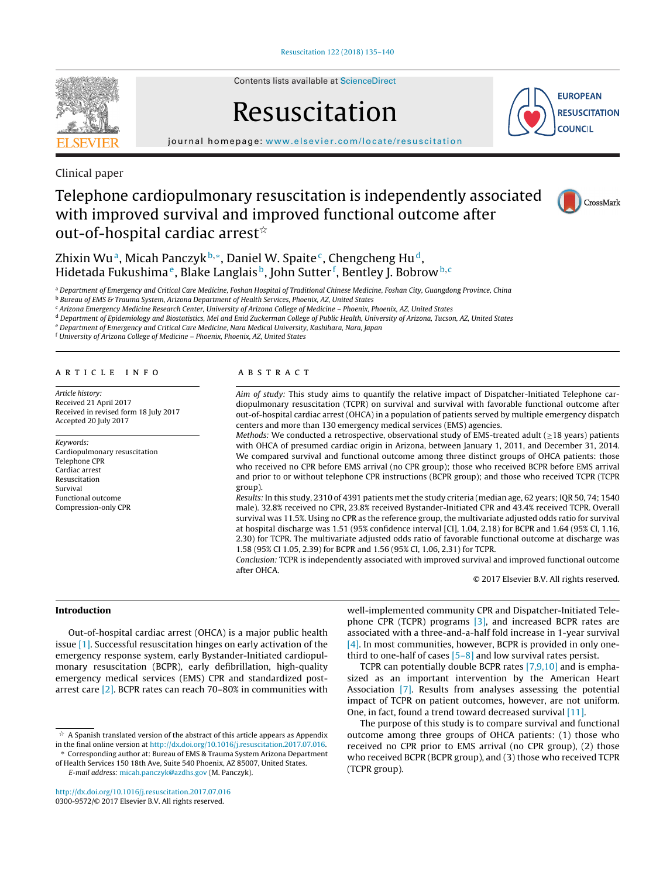

Contents lists available at [ScienceDirect](http://www.sciencedirect.com/science/journal/03009572)

# Resuscitation



iournal homepage: [www.elsevier.com/locate/resuscitation](http://www.elsevier.com/locate/resuscitation)

Clinical paper

# Telephone cardiopulmonary resuscitation is independently associated with improved survival and improved functional outcome after out-of-hospital cardiac arrest $^{\scriptscriptstyle\star}$



Zhixin Wu<sup>a</sup>, Micah Panczyk<sup>b,\*</sup>, Daniel W. Spaite<sup>c</sup>, Chengcheng Hu<sup>d</sup>, Hidetada Fukushima<sup>e</sup>, Blake Langlais<sup>b</sup>, John Sutter<sup>f</sup>, Bentley J. Bobrow<sup>b,c</sup>

a Department of Emergency and Critical Care Medicine, Foshan Hospital of Traditional Chinese Medicine, Foshan City, Guangdong Province, China

**b Bureau of EMS & Trauma System, Arizona Department of Health Services, Phoenix, AZ, United States** 

<sup>c</sup> Arizona Emergency Medicine Research Center, University of Arizona College of Medicine – Phoenix, Phoenix, AZ, United States

<sup>d</sup> Department of Epidemiology and Biostatistics, Mel and Enid Zuckerman College of Public Health, University of Arizona, Tucson, AZ, United States

<sup>e</sup> Department of Emergency and Critical Care Medicine, Nara Medical University, Kashihara, Nara, Japan

<sup>f</sup> University of Arizona College of Medicine – Phoenix, Phoenix, AZ, United States

#### a r t i c l e i n f o

Article history: Received 21 April 2017 Received in revised form 18 July 2017 Accepted 20 July 2017

Keywords: Cardiopulmonary resuscitation Telephone CPR Cardiac arrest Resuscitation Survival Functional outcome Compression-only CPR

# A B S T R A C T

Aim of study: This study aims to quantify the relative impact of Dispatcher-Initiated Telephone cardiopulmonary resuscitation (TCPR) on survival and survival with favorable functional outcome after out-of-hospital cardiac arrest (OHCA) in a population of patients served by multiple emergency dispatch centers and more than 130 emergency medical services (EMS) agencies.

Methods: We conducted a retrospective, observational study of EMS-treated adult ( $\geq$ 18 years) patients with OHCA of presumed cardiac origin in Arizona, between January 1, 2011, and December 31, 2014. We compared survival and functional outcome among three distinct groups of OHCA patients: those who received no CPR before EMS arrival (no CPR group); those who received BCPR before EMS arrival and prior to or without telephone CPR instructions (BCPR group); and those who received TCPR (TCPR group).

Results: In this study, 2310 of 4391 patients met the study criteria (median age, 62 years; IQR 50, 74; 1540 male). 32.8% received no CPR, 23.8% received Bystander-Initiated CPR and 43.4% received TCPR. Overall survival was 11.5%. Using no CPR as the reference group, the multivariate adjusted odds ratio for survival at hospital discharge was 1.51 (95% confidence interval [CI], 1.04, 2.18) for BCPR and 1.64 (95% CI, 1.16, 2.30) for TCPR. The multivariate adjusted odds ratio of favorable functional outcome at discharge was 1.58 (95% CI 1.05, 2.39) for BCPR and 1.56 (95% CI, 1.06, 2.31) for TCPR.

Conclusion: TCPR is independently associated with improved survival and improved functional outcome after OHCA.

© 2017 Elsevier B.V. All rights reserved.

### **Introduction**

Out-of-hospital cardiac arrest (OHCA) is a major public health issue [\[1\].](#page-4-0) Successful resuscitation hinges on early activation of the emergency response system, early Bystander-Initiated cardiopulmonary resuscitation (BCPR), early defibrillation, high-quality emergency medical services (EMS) CPR and standardized postarrest care [\[2\].](#page-4-0) BCPR rates can reach 70–80% in communities with

 $\mathrm{\hat{x}}$  A Spanish translated version of the abstract of this article appears as Appendix in the final online version at [http://dx.doi.org/10.1016/j.resuscitation.2017.07.016.](http://dx.doi.org/10.1016/j.resuscitation.2017.07.016)

∗ Corresponding author at: Bureau of EMS & Trauma System Arizona Department of Health Services 150 18th Ave, Suite 540 Phoenix, AZ 85007, United States.

E-mail address: [micah.panczyk@azdhs.gov](mailto:micah.panczyk@azdhs.gov) (M. Panczyk).

[http://dx.doi.org/10.1016/j.resuscitation.2017.07.016](dx.doi.org/10.1016/j.resuscitation.2017.07.016) 0300-9572/© 2017 Elsevier B.V. All rights reserved.

well-implemented community CPR and Dispatcher-Initiated Telephone CPR (TCPR) programs [\[3\],](#page-4-0) and increased BCPR rates are associated with a three-and-a-half fold increase in 1-year survival [\[4\].](#page-4-0) In most communities, however, BCPR is provided in only onethird to one-half of cases  $[5-8]$  and low survival rates persist.

TCPR can potentially double BCPR rates [\[7,9,10\]](#page-4-0) and is emphasized as an important intervention by the American Heart Association [\[7\].](#page-4-0) Results from analyses assessing the potential impact of TCPR on patient outcomes, however, are not uniform. One, in fact, found a trend toward decreased survival [\[11\].](#page-4-0)

The purpose of this study is to compare survival and functional outcome among three groups of OHCA patients: (1) those who received no CPR prior to EMS arrival (no CPR group), (2) those who received BCPR (BCPR group), and (3) those who received TCPR (TCPR group).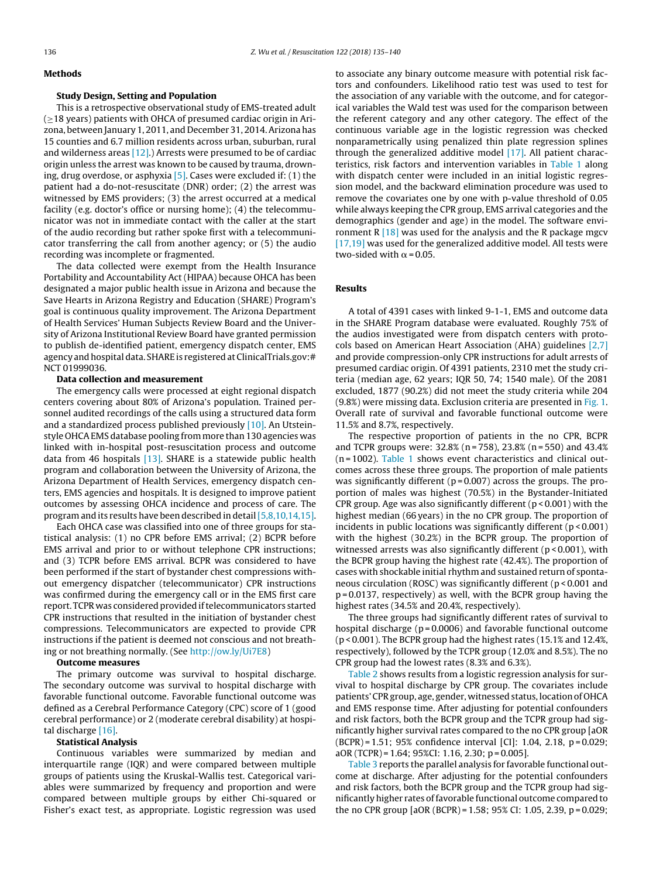#### **Methods**

#### **Study Design, Setting and Population**

This is a retrospective observational study of EMS-treated adult (≥18 years) patients with OHCA of presumed cardiac origin in Arizona, between January 1, 2011, and December 31, 2014.Arizona has 15 counties and 6.7 million residents across urban, suburban, rural and wilderness areas  $[12]$ .) Arrests were presumed to be of cardiac origin unless the arrest was known to be caused by trauma, drowning, drug overdose, or asphyxia  $[5]$ . Cases were excluded if: (1) the patient had a do-not-resuscitate (DNR) order; (2) the arrest was witnessed by EMS providers; (3) the arrest occurred at a medical facility (e.g. doctor's office or nursing home); (4) the telecommunicator was not in immediate contact with the caller at the start of the audio recording but rather spoke first with a telecommunicator transferring the call from another agency; or (5) the audio recording was incomplete or fragmented.

The data collected were exempt from the Health Insurance Portability and Accountability Act (HIPAA) because OHCA has been designated a major public health issue in Arizona and because the Save Hearts in Arizona Registry and Education (SHARE) Program's goal is continuous quality improvement. The Arizona Department of Health Services' Human Subjects Review Board and the University of Arizona Institutional Review Board have granted permission to publish de-identified patient, emergency dispatch center, EMS agency and hospital data. SHARE is registered at ClinicalTrials.gov:# NCT 01999036.

# **Data collection and measurement**

The emergency calls were processed at eight regional dispatch centers covering about 80% of Arizona's population. Trained personnel audited recordings of the calls using a structured data form and a standardized process published previously [\[10\].](#page-4-0) An Utsteinstyle OHCAEMS database pooling from more than 130 agencies was linked with in-hospital post-resuscitation process and outcome data from 46 hospitals [\[13\].](#page-4-0) SHARE is a statewide public health program and collaboration between the University of Arizona, the Arizona Department of Health Services, emergency dispatch centers, EMS agencies and hospitals. It is designed to improve patient outcomes by assessing OHCA incidence and process of care. The program and its results have been described in detail [\[5,8,10,14,15\].](#page-4-0)

Each OHCA case was classified into one of three groups for statistical analysis: (1) no CPR before EMS arrival; (2) BCPR before EMS arrival and prior to or without telephone CPR instructions; and (3) TCPR before EMS arrival. BCPR was considered to have been performed if the start of bystander chest compressions without emergency dispatcher (telecommunicator) CPR instructions was confirmed during the emergency call or in the EMS first care report. TCPR was considered provided iftelecommunicators started CPR instructions that resulted in the initiation of bystander chest compressions. Telecommunicators are expected to provide CPR instructions if the patient is deemed not conscious and not breathing or not breathing normally. (See <http://ow.ly/Ui7E8>)

# **Outcome measures**

The primary outcome was survival to hospital discharge. The secondary outcome was survival to hospital discharge with favorable functional outcome. Favorable functional outcome was defined as a Cerebral Performance Category (CPC) score of 1 (good cerebral performance) or 2 (moderate cerebral disability) at hospital discharge [\[16\].](#page-4-0)

#### **Statistical Analysis**

Continuous variables were summarized by median and interquartile range (IQR) and were compared between multiple groups of patients using the Kruskal-Wallis test. Categorical variables were summarized by frequency and proportion and were compared between multiple groups by either Chi-squared or Fisher's exact test, as appropriate. Logistic regression was used to associate any binary outcome measure with potential risk factors and confounders. Likelihood ratio test was used to test for the association of any variable with the outcome, and for categorical variables the Wald test was used for the comparison between the referent category and any other category. The effect of the continuous variable age in the logistic regression was checked nonparametrically using penalized thin plate regression splines through the generalized additive model [\[17\].](#page-5-0) All patient characteristics, risk factors and intervention variables in [Table](#page-2-0) 1 along with dispatch center were included in an initial logistic regression model, and the backward elimination procedure was used to remove the covariates one by one with p-value threshold of 0.05 while always keeping the CPR group, EMS arrival categories and the demographics (gender and age) in the model. The software environment R  $[18]$  was used for the analysis and the R package mgcv [\[17,19\]](#page-5-0) was used for the generalized additive model. All tests were two-sided with  $\alpha$  = 0.05.

# **Results**

A total of 4391 cases with linked 9-1-1, EMS and outcome data in the SHARE Program database were evaluated. Roughly 75% of the audios investigated were from dispatch centers with protocols based on American Heart Association (AHA) guidelines [\[2,7\]](#page-4-0) and provide compression-only CPR instructions for adult arrests of presumed cardiac origin. Of 4391 patients, 2310 met the study criteria (median age, 62 years; IQR 50, 74; 1540 male). Of the 2081 excluded, 1877 (90.2%) did not meet the study criteria while 204 (9.8%) were missing data. Exclusion criteria are presented in [Fig.](#page-3-0) 1. Overall rate of survival and favorable functional outcome were 11.5% and 8.7%, respectively.

The respective proportion of patients in the no CPR, BCPR and TCPR groups were: 32.8% (n = 758), 23.8% (n = 550) and 43.4%  $(n = 1002)$ . [Table](#page-2-0) 1 shows event characteristics and clinical outcomes across these three groups. The proportion of male patients was significantly different ( $p = 0.007$ ) across the groups. The proportion of males was highest (70.5%) in the Bystander-Initiated CPR group. Age was also significantly different ( $p < 0.001$ ) with the highest median (66 years) in the no CPR group. The proportion of incidents in public locations was significantly different (p < 0.001) with the highest (30.2%) in the BCPR group. The proportion of witnessed arrests was also significantly different ( $p < 0.001$ ), with the BCPR group having the highest rate (42.4%). The proportion of cases with shockable initial rhythm and sustained return of spontaneous circulation (ROSC) was significantly different (p < 0.001 and p = 0.0137, respectively) as well, with the BCPR group having the highest rates (34.5% and 20.4%, respectively).

The three groups had significantly different rates of survival to hospital discharge (p=0.0006) and favorable functional outcome (p < 0.001). The BCPR group had the highest rates (15.1% and 12.4%, respectively), followed by the TCPR group (12.0% and 8.5%). The no CPR group had the lowest rates (8.3% and 6.3%).

[Table](#page-2-0) 2 shows results from a logistic regression analysis for survival to hospital discharge by CPR group. The covariates include patients' CPRgroup, age, gender, witnessed status, location of OHCA and EMS response time. After adjusting for potential confounders and risk factors, both the BCPR group and the TCPR group had significantly higher survival rates compared to the no CPR group [aOR (BCPR) = 1.51; 95% confidence interval [CI]: 1.04, 2.18, p = 0.029; aOR (TCPR) = 1.64; 95%CI: 1.16, 2.30; p = 0.005].

[Table](#page-3-0) 3 reports the parallel analysis for favorable functional outcome at discharge. After adjusting for the potential confounders and risk factors, both the BCPR group and the TCPR group had significantly higher rates offavorable functional outcome compared to the no CPR group [aOR (BCPR) = 1.58; 95% CI: 1.05, 2.39, p = 0.029;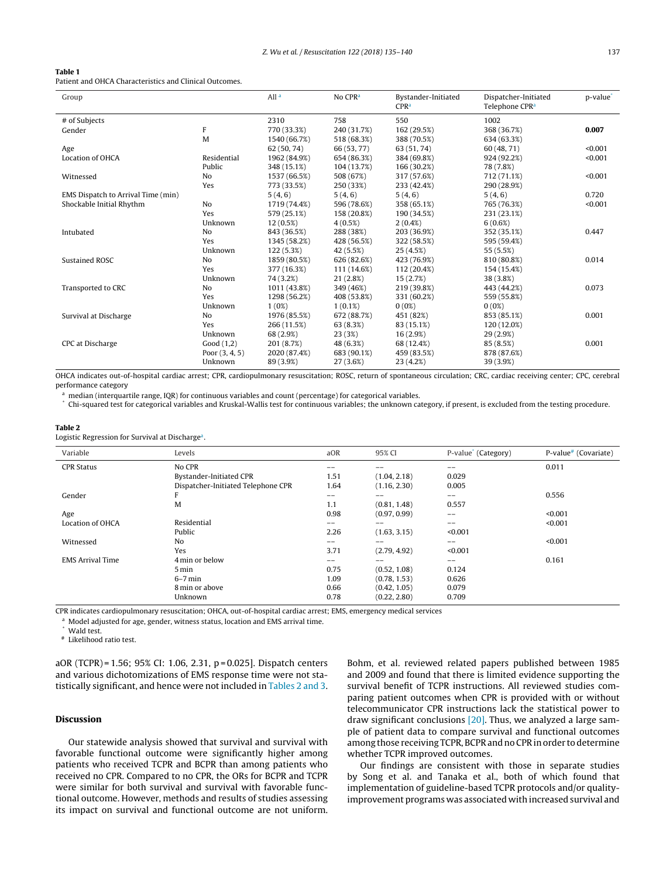#### <span id="page-2-0"></span>**Table 1**

Patient and OHCA Characteristics and Clinical Outcomes.

| Group                              |                  | All <sup>a</sup> | No CPR <sup>a</sup> | Bystander-Initiated<br>CPR <sup>a</sup> | Dispatcher-Initiated<br>Telephone CPR <sup>a</sup> | p-value |
|------------------------------------|------------------|------------------|---------------------|-----------------------------------------|----------------------------------------------------|---------|
| # of Subjects                      |                  | 2310             | 758                 | 550                                     | 1002                                               |         |
| Gender                             | F                | 770 (33.3%)      | 240 (31.7%)         | 162 (29.5%)                             | 368 (36.7%)                                        | 0.007   |
|                                    | M                | 1540 (66.7%)     | 518 (68.3%)         | 388 (70.5%)                             | 634 (63.3%)                                        |         |
| Age                                |                  | 62 (50, 74)      | 66 (53, 77)         | 63 (51, 74)                             | 60 (48, 71)                                        | < 0.001 |
| Location of OHCA                   | Residential      | 1962 (84.9%)     | 654 (86.3%)         | 384 (69.8%)                             | 924 (92.2%)                                        | < 0.001 |
|                                    | Public           | 348 (15.1%)      | 104 (13.7%)         | 166 (30.2%)                             | 78 (7.8%)                                          |         |
| Witnessed                          | No               | 1537 (66.5%)     | 508 (67%)           | 317 (57.6%)                             | 712 (71.1%)                                        | < 0.001 |
|                                    | Yes              | 773 (33.5%)      | 250 (33%)           | 233 (42.4%)                             | 290 (28.9%)                                        |         |
| EMS Dispatch to Arrival Time (min) |                  | 5(4, 6)          | 5(4, 6)             | 5(4,6)                                  | 5(4, 6)                                            | 0.720   |
| Shockable Initial Rhythm           | No               | 1719 (74.4%)     | 596 (78.6%)         | 358 (65.1%)                             | 765 (76.3%)                                        | < 0.001 |
|                                    | Yes              | 579 (25.1%)      | 158 (20.8%)         | 190 (34.5%)                             | 231 (23.1%)                                        |         |
|                                    | Unknown          | 12(0.5%)         | 4(0.5%)             | $2(0.4\%)$                              | 6(0.6%)                                            |         |
| Intubated                          | No               | 843 (36.5%)      | 288 (38%)           | 203 (36.9%)                             | 352 (35.1%)                                        | 0.447   |
|                                    | Yes              | 1345 (58.2%)     | 428 (56.5%)         | 322 (58.5%)                             | 595 (59.4%)                                        |         |
|                                    | Unknown          | 122 (5.3%)       | 42 (5.5%)           | 25(4.5%)                                | 55 (5.5%)                                          |         |
| <b>Sustained ROSC</b>              | No               | 1859 (80.5%)     | 626 (82.6%)         | 423 (76.9%)                             | 810 (80.8%)                                        | 0.014   |
|                                    | Yes              | 377 (16.3%)      | 111 (14.6%)         | 112 (20.4%)                             | 154 (15.4%)                                        |         |
|                                    | Unknown          | 74 (3.2%)        | 21(2.8%)            | 15(2.7%)                                | 38 (3.8%)                                          |         |
| Transported to CRC                 | No               | 1011 (43.8%)     | 349 (46%)           | 219 (39.8%)                             | 443 (44.2%)                                        | 0.073   |
|                                    | Yes              | 1298 (56.2%)     | 408 (53.8%)         | 331 (60.2%)                             | 559 (55.8%)                                        |         |
|                                    | Unknown          | 1(0%)            | $1(0.1\%)$          | $0(0\%)$                                | $0(0\%)$                                           |         |
| Survival at Discharge              | No               | 1976 (85.5%)     | 672 (88.7%)         | 451 (82%)                               | 853 (85.1%)                                        | 0.001   |
|                                    | Yes              | 266 (11.5%)      | 63 (8.3%)           | 83 (15.1%)                              | 120 (12.0%)                                        |         |
|                                    | Unknown          | 68 (2.9%)        | 23(3%)              | 16 (2.9%)                               | 29(2.9%)                                           |         |
| CPC at Discharge                   | Good(1,2)        | 201 (8.7%)       | 48 (6.3%)           | 68 (12.4%)                              | 85 (8.5%)                                          | 0.001   |
|                                    | Poor $(3, 4, 5)$ | 2020 (87.4%)     | 683 (90.1%)         | 459 (83.5%)                             | 878 (87.6%)                                        |         |
|                                    | Unknown          | 89 (3.9%)        | 27 (3.6%)           | 23(4.2%)                                | 39 (3.9%)                                          |         |

OHCA indicates out-of-hospital cardiac arrest; CPR, cardiopulmonary resuscitation; ROSC, return of spontaneous circulation; CRC, cardiac receiving center; CPC, cerebral performance category

 $a$  median (interquartile range, IQR) for continuous variables and count (percentage) for categorical variables.

\* Chi-squared test for categorical variables and Kruskal-Wallis test for continuous variables; the unknown category, if present, is excluded from the testing procedure.

## **Table 2**

Logistic Regression for Survival at Discharge<sup>a</sup>.

| Variable                | Levels                             | aOR   | 95% CI       | P-value <sup>*</sup> (Category) | P-value <sup>#</sup> (Covariate) |
|-------------------------|------------------------------------|-------|--------------|---------------------------------|----------------------------------|
| <b>CPR Status</b>       | No CPR                             | --    |              | --                              | 0.011                            |
|                         | Bystander-Initiated CPR            | 1.51  | (1.04, 2.18) | 0.029                           |                                  |
|                         | Dispatcher-Initiated Telephone CPR | 1.64  | (1.16, 2.30) | 0.005                           |                                  |
| Gender                  | F                                  | $- -$ | $-$          | $- -$                           | 0.556                            |
|                         | M                                  | 1.1   | (0.81, 1.48) | 0.557                           |                                  |
| Age                     |                                    | 0.98  | (0.97, 0.99) | $\qquad \qquad -$               | < 0.001                          |
| Location of OHCA        | Residential                        | $- -$ | $- -$        | $- -$                           | < 0.001                          |
|                         | Public                             | 2.26  | (1.63, 3.15) | < 0.001                         |                                  |
| Witnessed               | No                                 | $- -$ |              | $- -$                           | < 0.001                          |
|                         | Yes                                | 3.71  | (2.79, 4.92) | < 0.001                         |                                  |
| <b>EMS Arrival Time</b> | 4 min or below                     | $- -$ |              | --                              | 0.161                            |
|                         | 5 min                              | 0.75  | (0.52, 1.08) | 0.124                           |                                  |
|                         | $6-7$ min                          | 1.09  | (0.78, 1.53) | 0.626                           |                                  |
|                         | 8 min or above                     | 0.66  | (0.42, 1.05) | 0.079                           |                                  |
|                         | Unknown                            | 0.78  | (0.22, 2.80) | 0.709                           |                                  |

CPR indicates cardiopulmonary resuscitation; OHCA, out-of-hospital cardiac arrest; EMS, emergency medical services

<sup>a</sup> Model adjusted for age, gender, witness status, location and EMS arrival time.

Wald test.

# Likelihood ratio test.

aOR (TCPR) = 1.56; 95% CI: 1.06, 2.31, p = 0.025]. Dispatch centers and various dichotomizations of EMS response time were not statistically significant, and hence were not included in Tables 2 and 3.

### **Discussion**

Our statewide analysis showed that survival and survival with favorable functional outcome were significantly higher among patients who received TCPR and BCPR than among patients who received no CPR. Compared to no CPR, the ORs for BCPR and TCPR were similar for both survival and survival with favorable functional outcome. However, methods and results of studies assessing its impact on survival and functional outcome are not uniform. Bohm, et al. reviewed related papers published between 1985 and 2009 and found that there is limited evidence supporting the survival benefit of TCPR instructions. All reviewed studies comparing patient outcomes when CPR is provided with or without telecommunicator CPR instructions lack the statistical power to draw significant conclusions [\[20\].](#page-5-0) Thus, we analyzed a large sample of patient data to compare survival and functional outcomes among those receiving TCPR, BCPR and no CPR in order to determine whether TCPR improved outcomes.

Our findings are consistent with those in separate studies by Song et al. and Tanaka et al., both of which found that implementation of guideline-based TCPR protocols and/or qualityimprovement programs was associated with increased survival and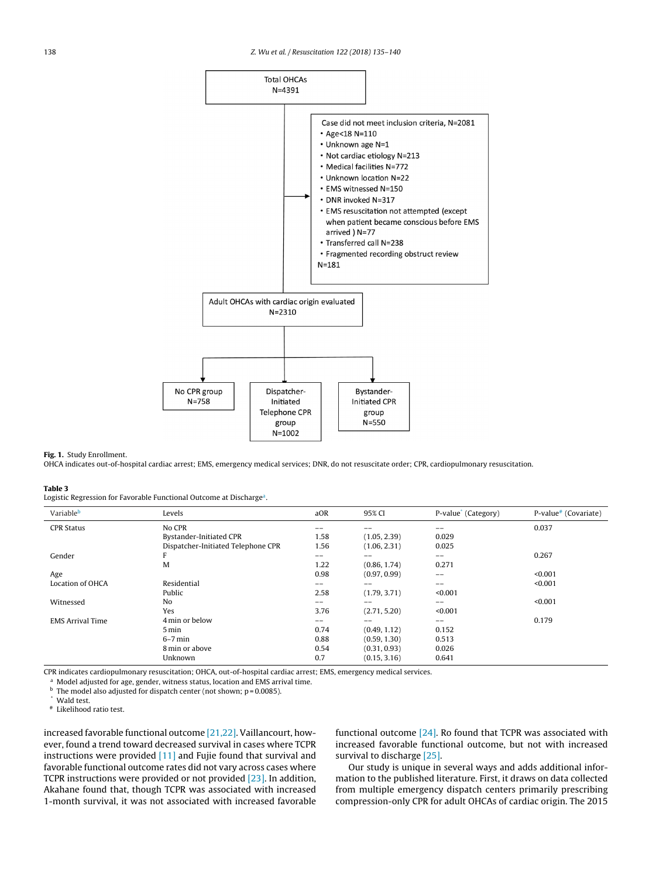<span id="page-3-0"></span>

#### **Fig. 1.** Study Enrollment.

OHCA indicates out-of-hospital cardiac arrest; EMS, emergency medical services; DNR, do not resuscitate order; CPR, cardiopulmonary resuscitation.

#### **Table 3**

Logistic Regression for Favorable Functional Outcome at Discharge<sup>a</sup>.

| Variableb               | Levels                             | aOR               | 95% CI       | P-value <sup>*</sup> (Category) | P-value# (Covariate) |
|-------------------------|------------------------------------|-------------------|--------------|---------------------------------|----------------------|
| <b>CPR Status</b>       | No CPR                             | --                |              | --                              | 0.037                |
|                         | Bystander-Initiated CPR            | 1.58              | (1.05, 2.39) | 0.029                           |                      |
|                         | Dispatcher-Initiated Telephone CPR | 1.56              | (1.06, 2.31) | 0.025                           |                      |
| Gender                  | F                                  | $\qquad \qquad -$ | --           | $\qquad \qquad -$               | 0.267                |
|                         | M                                  | 1.22              | (0.86, 1.74) | 0.271                           |                      |
| Age                     |                                    | 0.98              | (0.97, 0.99) | $- -$                           | < 0.001              |
| Location of OHCA        | Residential                        | --                | $- -$        | --                              | < 0.001              |
|                         | Public                             | 2.58              | (1.79, 3.71) | < 0.001                         |                      |
| Witnessed               | No                                 | --                |              | $- -$                           | < 0.001              |
|                         | Yes                                | 3.76              | (2.71, 5.20) | < 0.001                         |                      |
| <b>EMS Arrival Time</b> | 4 min or below                     | --                | $- -$        | $\qquad \qquad -$               | 0.179                |
|                         | 5 min                              | 0.74              | (0.49, 1.12) | 0.152                           |                      |
|                         | $6-7$ min                          | 0.88              | (0.59, 1.30) | 0.513                           |                      |
|                         | 8 min or above                     | 0.54              | (0.31, 0.93) | 0.026                           |                      |
|                         | Unknown                            | 0.7               | (0.15, 3.16) | 0.641                           |                      |

CPR indicates cardiopulmonary resuscitation; OHCA, out-of-hospital cardiac arrest; EMS, emergency medical services.

a Model adjusted for age, gender, witness status, location and EMS arrival time.

 $<sup>b</sup>$  The model also adjusted for dispatch center (not shown; p = 0.0085).</sup>

Wald test.

# Likelihood ratio test.

increased favorable functional outcome [\[21,22\].](#page-5-0) Vaillancourt, however, found a trend toward decreased survival in cases where TCPR instructions were provided [\[11\]](#page-4-0) and Fujie found that survival and favorable functional outcome rates did not vary across cases where TCPR instructions were provided or not provided [\[23\].](#page-5-0) In addition, Akahane found that, though TCPR was associated with increased 1-month survival, it was not associated with increased favorable

functional outcome [\[24\].](#page-5-0) Ro found that TCPR was associated with increased favorable functional outcome, but not with increased survival to discharge [\[25\].](#page-5-0)

Our study is unique in several ways and adds additional information to the published literature. First, it draws on data collected from multiple emergency dispatch centers primarily prescribing compression-only CPR for adult OHCAs of cardiac origin. The 2015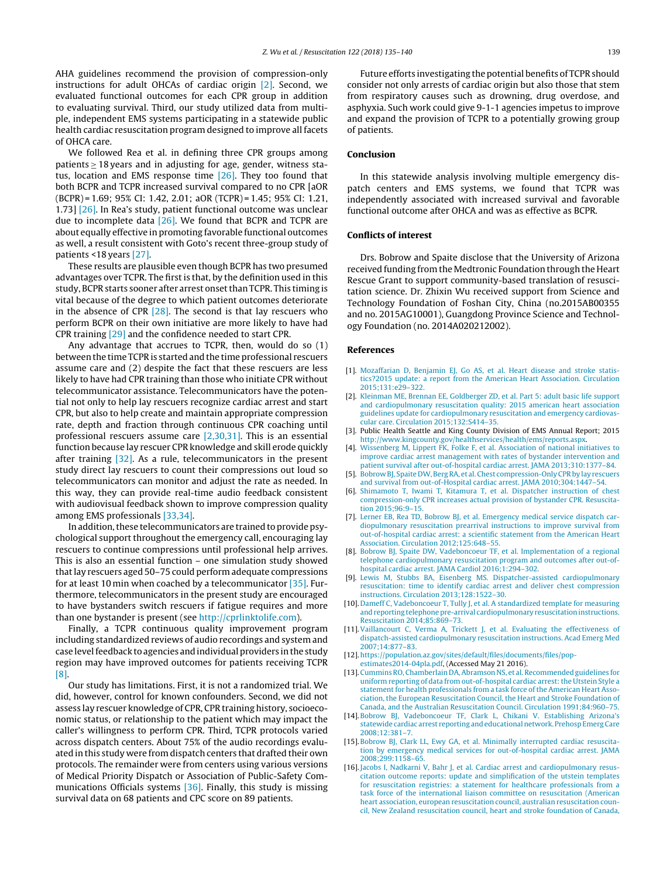<span id="page-4-0"></span>AHA guidelines recommend the provision of compression-only instructions for adult OHCAs of cardiac origin [2]. Second, we evaluated functional outcomes for each CPR group in addition to evaluating survival. Third, our study utilized data from multiple, independent EMS systems participating in a statewide public health cardiac resuscitation program designed to improve all facets of OHCA care.

We followed Rea et al. in defining three CPR groups among patients ≥ 18 years and in adjusting for age, gender, witness status, location and EMS response time [\[26\].](#page-5-0) They too found that both BCPR and TCPR increased survival compared to no CPR [aOR (BCPR) = 1.69; 95% CI: 1.42, 2.01; aOR (TCPR) = 1.45; 95% CI: 1.21, 1.73] [\[26\].](#page-5-0) In Rea's study, patient functional outcome was unclear due to incomplete data [\[26\].](#page-5-0) We found that BCPR and TCPR are about equally effective in promoting favorable functional outcomes as well, a result consistent with Goto's recent three-group study of patients <18 years [\[27\].](#page-5-0)

These results are plausible even though BCPR has two presumed advantages over TCPR. The first is that, by the definition used in this study, BCPR starts sooner after arrest onset than TCPR. This timing is vital because of the degree to which patient outcomes deteriorate in the absence of CPR [\[28\].](#page-5-0) The second is that lay rescuers who perform BCPR on their own initiative are more likely to have had CPR training [\[29\]](#page-5-0) and the confidence needed to start CPR.

Any advantage that accrues to TCPR, then, would do so (1) between the time TCPR is started and the time professional rescuers assume care and (2) despite the fact that these rescuers are less likely to have had CPR training than those who initiate CPR without telecommunicator assistance. Telecommunicators have the potential not only to help lay rescuers recognize cardiac arrest and start CPR, but also to help create and maintain appropriate compression rate, depth and fraction through continuous CPR coaching until professional rescuers assume care [2,30,31]. This is an essential function because lay rescuer CPR knowledge and skill erode quickly after training [\[32\].](#page-5-0) As a rule, telecommunicators in the present study direct lay rescuers to count their compressions out loud so telecommunicators can monitor and adjust the rate as needed. In this way, they can provide real-time audio feedback consistent with audiovisual feedback shown to improve compression quality among EMS professionals [\[33,34\].](#page-5-0)

In addition, these telecommunicators are trained to provide psychological support throughout the emergency call, encouraging lay rescuers to continue compressions until professional help arrives. This is also an essential function – one simulation study showed thatlay rescuers aged 50–75 could perform adequate compressions for at least 10 min when coached by a telecommunicator [\[35\].](#page-5-0) Furthermore, telecommunicators in the present study are encouraged to have bystanders switch rescuers if fatigue requires and more than one bystander is present (see <http://cprlinktolife.com>).

Finally, a TCPR continuous quality improvement program including standardized reviews of audio recordings and system and case level feedback to agencies and individual providers in the study region may have improved outcomes for patients receiving TCPR [8].

Our study has limitations. First, it is not a randomized trial. We did, however, control for known confounders. Second, we did not assess lay rescuer knowledge of CPR, CPR training history, socioeconomic status, or relationship to the patient which may impact the caller's willingness to perform CPR. Third, TCPR protocols varied across dispatch centers. About 75% of the audio recordings evaluated in this study were from dispatch centers that drafted their own protocols. The remainder were from centers using various versions of Medical Priority Dispatch or Association of Public-Safety Communications Officials systems [\[36\].](#page-5-0) Finally, this study is missing survival data on 68 patients and CPC score on 89 patients.

Future efforts investigating the potential benefits of TCPR should consider not only arrests of cardiac origin but also those that stem from respiratory causes such as drowning, drug overdose, and asphyxia. Such work could give 9-1-1 agencies impetus to improve and expand the provision of TCPR to a potentially growing group of patients.

# **Conclusion**

In this statewide analysis involving multiple emergency dispatch centers and EMS systems, we found that TCPR was independently associated with increased survival and favorable functional outcome after OHCA and was as effective as BCPR.

### **Conflicts of interest**

Drs. Bobrow and Spaite disclose that the University of Arizona received funding from the Medtronic Foundation through the Heart Rescue Grant to support community-based translation of resuscitation science. Dr. Zhixin Wu received support from Science and Technology Foundation of Foshan City, China (no.2015AB00355 and no. 2015AG10001), Guangdong Province Science and Technology Foundation (no. 2014A020212002).

## **References**

- [1]. [Mozaffarian](http://refhub.elsevier.com/S0300-9572(17)30297-6/sbref0005) [D,](http://refhub.elsevier.com/S0300-9572(17)30297-6/sbref0005) [Benjamin](http://refhub.elsevier.com/S0300-9572(17)30297-6/sbref0005) [EJ,](http://refhub.elsevier.com/S0300-9572(17)30297-6/sbref0005) [Go](http://refhub.elsevier.com/S0300-9572(17)30297-6/sbref0005) [AS,](http://refhub.elsevier.com/S0300-9572(17)30297-6/sbref0005) [et](http://refhub.elsevier.com/S0300-9572(17)30297-6/sbref0005) [al.](http://refhub.elsevier.com/S0300-9572(17)30297-6/sbref0005) [Heart](http://refhub.elsevier.com/S0300-9572(17)30297-6/sbref0005) [disease](http://refhub.elsevier.com/S0300-9572(17)30297-6/sbref0005) [and](http://refhub.elsevier.com/S0300-9572(17)30297-6/sbref0005) [stroke](http://refhub.elsevier.com/S0300-9572(17)30297-6/sbref0005) [statis](http://refhub.elsevier.com/S0300-9572(17)30297-6/sbref0005)[tics?2015](http://refhub.elsevier.com/S0300-9572(17)30297-6/sbref0005) [update:](http://refhub.elsevier.com/S0300-9572(17)30297-6/sbref0005) [a](http://refhub.elsevier.com/S0300-9572(17)30297-6/sbref0005) [report](http://refhub.elsevier.com/S0300-9572(17)30297-6/sbref0005) [from](http://refhub.elsevier.com/S0300-9572(17)30297-6/sbref0005) [the](http://refhub.elsevier.com/S0300-9572(17)30297-6/sbref0005) [American](http://refhub.elsevier.com/S0300-9572(17)30297-6/sbref0005) [Heart](http://refhub.elsevier.com/S0300-9572(17)30297-6/sbref0005) [Association.](http://refhub.elsevier.com/S0300-9572(17)30297-6/sbref0005) [Circulation](http://refhub.elsevier.com/S0300-9572(17)30297-6/sbref0005) [2015;131:e29–322.](http://refhub.elsevier.com/S0300-9572(17)30297-6/sbref0005)
- [2]. [Kleinman](http://refhub.elsevier.com/S0300-9572(17)30297-6/sbref0010) [ME,](http://refhub.elsevier.com/S0300-9572(17)30297-6/sbref0010) [Brennan](http://refhub.elsevier.com/S0300-9572(17)30297-6/sbref0010) [EE,](http://refhub.elsevier.com/S0300-9572(17)30297-6/sbref0010) [Goldberger](http://refhub.elsevier.com/S0300-9572(17)30297-6/sbref0010) [ZD,](http://refhub.elsevier.com/S0300-9572(17)30297-6/sbref0010) [et](http://refhub.elsevier.com/S0300-9572(17)30297-6/sbref0010) [al.](http://refhub.elsevier.com/S0300-9572(17)30297-6/sbref0010) [Part](http://refhub.elsevier.com/S0300-9572(17)30297-6/sbref0010) [5:](http://refhub.elsevier.com/S0300-9572(17)30297-6/sbref0010) [adult](http://refhub.elsevier.com/S0300-9572(17)30297-6/sbref0010) [basic](http://refhub.elsevier.com/S0300-9572(17)30297-6/sbref0010) [life](http://refhub.elsevier.com/S0300-9572(17)30297-6/sbref0010) [support](http://refhub.elsevier.com/S0300-9572(17)30297-6/sbref0010) [and](http://refhub.elsevier.com/S0300-9572(17)30297-6/sbref0010) [cardiopulmonary](http://refhub.elsevier.com/S0300-9572(17)30297-6/sbref0010) [resuscitation](http://refhub.elsevier.com/S0300-9572(17)30297-6/sbref0010) [quality:](http://refhub.elsevier.com/S0300-9572(17)30297-6/sbref0010) [2015](http://refhub.elsevier.com/S0300-9572(17)30297-6/sbref0010) [american](http://refhub.elsevier.com/S0300-9572(17)30297-6/sbref0010) [heart](http://refhub.elsevier.com/S0300-9572(17)30297-6/sbref0010) [association](http://refhub.elsevier.com/S0300-9572(17)30297-6/sbref0010) [guidelines](http://refhub.elsevier.com/S0300-9572(17)30297-6/sbref0010) [update](http://refhub.elsevier.com/S0300-9572(17)30297-6/sbref0010) [for](http://refhub.elsevier.com/S0300-9572(17)30297-6/sbref0010) [cardiopulmonary](http://refhub.elsevier.com/S0300-9572(17)30297-6/sbref0010) [resuscitation](http://refhub.elsevier.com/S0300-9572(17)30297-6/sbref0010) [and](http://refhub.elsevier.com/S0300-9572(17)30297-6/sbref0010) [emergency](http://refhub.elsevier.com/S0300-9572(17)30297-6/sbref0010) [cardiovas](http://refhub.elsevier.com/S0300-9572(17)30297-6/sbref0010)[cular](http://refhub.elsevier.com/S0300-9572(17)30297-6/sbref0010) [care.](http://refhub.elsevier.com/S0300-9572(17)30297-6/sbref0010) [Circulation](http://refhub.elsevier.com/S0300-9572(17)30297-6/sbref0010) [2015;132:S414–35.](http://refhub.elsevier.com/S0300-9572(17)30297-6/sbref0010)
- [3]. Public Health Seattle and King County Division of EMS Annual Report; 2015 <http://www.kingcounty.gov/healthservices/health/ems/reports.aspx>.
- [4]. [Wissenberg](http://refhub.elsevier.com/S0300-9572(17)30297-6/sbref0020) [M,](http://refhub.elsevier.com/S0300-9572(17)30297-6/sbref0020) [Lippert](http://refhub.elsevier.com/S0300-9572(17)30297-6/sbref0020) [FK,](http://refhub.elsevier.com/S0300-9572(17)30297-6/sbref0020) [Folke](http://refhub.elsevier.com/S0300-9572(17)30297-6/sbref0020) [F,](http://refhub.elsevier.com/S0300-9572(17)30297-6/sbref0020) [et](http://refhub.elsevier.com/S0300-9572(17)30297-6/sbref0020) [al.](http://refhub.elsevier.com/S0300-9572(17)30297-6/sbref0020) [Association](http://refhub.elsevier.com/S0300-9572(17)30297-6/sbref0020) [of](http://refhub.elsevier.com/S0300-9572(17)30297-6/sbref0020) [national](http://refhub.elsevier.com/S0300-9572(17)30297-6/sbref0020) [initiatives](http://refhub.elsevier.com/S0300-9572(17)30297-6/sbref0020) [to](http://refhub.elsevier.com/S0300-9572(17)30297-6/sbref0020) [improve](http://refhub.elsevier.com/S0300-9572(17)30297-6/sbref0020) [cardiac](http://refhub.elsevier.com/S0300-9572(17)30297-6/sbref0020) [arrest](http://refhub.elsevier.com/S0300-9572(17)30297-6/sbref0020) [management](http://refhub.elsevier.com/S0300-9572(17)30297-6/sbref0020) [with](http://refhub.elsevier.com/S0300-9572(17)30297-6/sbref0020) [rates](http://refhub.elsevier.com/S0300-9572(17)30297-6/sbref0020) [of](http://refhub.elsevier.com/S0300-9572(17)30297-6/sbref0020) [bystander](http://refhub.elsevier.com/S0300-9572(17)30297-6/sbref0020) [intervention](http://refhub.elsevier.com/S0300-9572(17)30297-6/sbref0020) [and](http://refhub.elsevier.com/S0300-9572(17)30297-6/sbref0020) [patient](http://refhub.elsevier.com/S0300-9572(17)30297-6/sbref0020) [survival](http://refhub.elsevier.com/S0300-9572(17)30297-6/sbref0020) [after](http://refhub.elsevier.com/S0300-9572(17)30297-6/sbref0020) [out-of-hospital](http://refhub.elsevier.com/S0300-9572(17)30297-6/sbref0020) [cardiac](http://refhub.elsevier.com/S0300-9572(17)30297-6/sbref0020) [arrest.](http://refhub.elsevier.com/S0300-9572(17)30297-6/sbref0020) [JAMA](http://refhub.elsevier.com/S0300-9572(17)30297-6/sbref0020) [2013;310:1377](http://refhub.elsevier.com/S0300-9572(17)30297-6/sbref0020)–[84.](http://refhub.elsevier.com/S0300-9572(17)30297-6/sbref0020)
- [5]. [Bobrow](http://refhub.elsevier.com/S0300-9572(17)30297-6/sbref0025) [BJ,](http://refhub.elsevier.com/S0300-9572(17)30297-6/sbref0025) [Spaite](http://refhub.elsevier.com/S0300-9572(17)30297-6/sbref0025) [DW,BergRA,](http://refhub.elsevier.com/S0300-9572(17)30297-6/sbref0025) [et](http://refhub.elsevier.com/S0300-9572(17)30297-6/sbref0025) [al.Chest](http://refhub.elsevier.com/S0300-9572(17)30297-6/sbref0025) [compression-OnlyCPRby](http://refhub.elsevier.com/S0300-9572(17)30297-6/sbref0025) [lay](http://refhub.elsevier.com/S0300-9572(17)30297-6/sbref0025) [rescuers](http://refhub.elsevier.com/S0300-9572(17)30297-6/sbref0025) [and](http://refhub.elsevier.com/S0300-9572(17)30297-6/sbref0025) [survival](http://refhub.elsevier.com/S0300-9572(17)30297-6/sbref0025) [from](http://refhub.elsevier.com/S0300-9572(17)30297-6/sbref0025) [out-of-Hospital](http://refhub.elsevier.com/S0300-9572(17)30297-6/sbref0025) [cardiac](http://refhub.elsevier.com/S0300-9572(17)30297-6/sbref0025) [arrest.](http://refhub.elsevier.com/S0300-9572(17)30297-6/sbref0025) [JAMA](http://refhub.elsevier.com/S0300-9572(17)30297-6/sbref0025) [2010;304:1447](http://refhub.elsevier.com/S0300-9572(17)30297-6/sbref0025)–[54.](http://refhub.elsevier.com/S0300-9572(17)30297-6/sbref0025)
- [6]. [Shimamoto](http://refhub.elsevier.com/S0300-9572(17)30297-6/sbref0030) [T,](http://refhub.elsevier.com/S0300-9572(17)30297-6/sbref0030) [Iwami](http://refhub.elsevier.com/S0300-9572(17)30297-6/sbref0030) [T,](http://refhub.elsevier.com/S0300-9572(17)30297-6/sbref0030) [Kitamura](http://refhub.elsevier.com/S0300-9572(17)30297-6/sbref0030) [T,](http://refhub.elsevier.com/S0300-9572(17)30297-6/sbref0030) [et](http://refhub.elsevier.com/S0300-9572(17)30297-6/sbref0030) [al.](http://refhub.elsevier.com/S0300-9572(17)30297-6/sbref0030) [Dispatcher](http://refhub.elsevier.com/S0300-9572(17)30297-6/sbref0030) [instruction](http://refhub.elsevier.com/S0300-9572(17)30297-6/sbref0030) [of](http://refhub.elsevier.com/S0300-9572(17)30297-6/sbref0030) [chest](http://refhub.elsevier.com/S0300-9572(17)30297-6/sbref0030) [compression-only](http://refhub.elsevier.com/S0300-9572(17)30297-6/sbref0030) [CPR](http://refhub.elsevier.com/S0300-9572(17)30297-6/sbref0030) [increases](http://refhub.elsevier.com/S0300-9572(17)30297-6/sbref0030) [actual](http://refhub.elsevier.com/S0300-9572(17)30297-6/sbref0030) [provision](http://refhub.elsevier.com/S0300-9572(17)30297-6/sbref0030) [of](http://refhub.elsevier.com/S0300-9572(17)30297-6/sbref0030) [bystander](http://refhub.elsevier.com/S0300-9572(17)30297-6/sbref0030) [CPR.](http://refhub.elsevier.com/S0300-9572(17)30297-6/sbref0030) [Resuscita](http://refhub.elsevier.com/S0300-9572(17)30297-6/sbref0030)[tion](http://refhub.elsevier.com/S0300-9572(17)30297-6/sbref0030) 2015:96:9-15
- [7]. [Lerner](http://refhub.elsevier.com/S0300-9572(17)30297-6/sbref0035) [EB,](http://refhub.elsevier.com/S0300-9572(17)30297-6/sbref0035) [Rea](http://refhub.elsevier.com/S0300-9572(17)30297-6/sbref0035) [TD,](http://refhub.elsevier.com/S0300-9572(17)30297-6/sbref0035) [Bobrow](http://refhub.elsevier.com/S0300-9572(17)30297-6/sbref0035) [BJ,](http://refhub.elsevier.com/S0300-9572(17)30297-6/sbref0035) [et](http://refhub.elsevier.com/S0300-9572(17)30297-6/sbref0035) [al.](http://refhub.elsevier.com/S0300-9572(17)30297-6/sbref0035) [Emergency](http://refhub.elsevier.com/S0300-9572(17)30297-6/sbref0035) [medical](http://refhub.elsevier.com/S0300-9572(17)30297-6/sbref0035) [service](http://refhub.elsevier.com/S0300-9572(17)30297-6/sbref0035) [dispatch](http://refhub.elsevier.com/S0300-9572(17)30297-6/sbref0035) [car](http://refhub.elsevier.com/S0300-9572(17)30297-6/sbref0035)[diopulmonary](http://refhub.elsevier.com/S0300-9572(17)30297-6/sbref0035) [resuscitation](http://refhub.elsevier.com/S0300-9572(17)30297-6/sbref0035) [prearrival](http://refhub.elsevier.com/S0300-9572(17)30297-6/sbref0035) [instructions](http://refhub.elsevier.com/S0300-9572(17)30297-6/sbref0035) [to](http://refhub.elsevier.com/S0300-9572(17)30297-6/sbref0035) [improve](http://refhub.elsevier.com/S0300-9572(17)30297-6/sbref0035) [survival](http://refhub.elsevier.com/S0300-9572(17)30297-6/sbref0035) [from](http://refhub.elsevier.com/S0300-9572(17)30297-6/sbref0035) [out-of-hospital](http://refhub.elsevier.com/S0300-9572(17)30297-6/sbref0035) [cardiac](http://refhub.elsevier.com/S0300-9572(17)30297-6/sbref0035) [arrest:](http://refhub.elsevier.com/S0300-9572(17)30297-6/sbref0035) [a](http://refhub.elsevier.com/S0300-9572(17)30297-6/sbref0035) [scientific](http://refhub.elsevier.com/S0300-9572(17)30297-6/sbref0035) [statement](http://refhub.elsevier.com/S0300-9572(17)30297-6/sbref0035) [from](http://refhub.elsevier.com/S0300-9572(17)30297-6/sbref0035) [the](http://refhub.elsevier.com/S0300-9572(17)30297-6/sbref0035) [American](http://refhub.elsevier.com/S0300-9572(17)30297-6/sbref0035) [Heart](http://refhub.elsevier.com/S0300-9572(17)30297-6/sbref0035) [Association.](http://refhub.elsevier.com/S0300-9572(17)30297-6/sbref0035) [Circulation](http://refhub.elsevier.com/S0300-9572(17)30297-6/sbref0035) [2012;125:648](http://refhub.elsevier.com/S0300-9572(17)30297-6/sbref0035)–[55.](http://refhub.elsevier.com/S0300-9572(17)30297-6/sbref0035)
- [8]. [Bobrow](http://refhub.elsevier.com/S0300-9572(17)30297-6/sbref0040) [BJ,](http://refhub.elsevier.com/S0300-9572(17)30297-6/sbref0040) [Spaite](http://refhub.elsevier.com/S0300-9572(17)30297-6/sbref0040) [DW,](http://refhub.elsevier.com/S0300-9572(17)30297-6/sbref0040) [Vadeboncoeur](http://refhub.elsevier.com/S0300-9572(17)30297-6/sbref0040) [TF,](http://refhub.elsevier.com/S0300-9572(17)30297-6/sbref0040) [et](http://refhub.elsevier.com/S0300-9572(17)30297-6/sbref0040) [al.](http://refhub.elsevier.com/S0300-9572(17)30297-6/sbref0040) [Implementation](http://refhub.elsevier.com/S0300-9572(17)30297-6/sbref0040) [of](http://refhub.elsevier.com/S0300-9572(17)30297-6/sbref0040) [a](http://refhub.elsevier.com/S0300-9572(17)30297-6/sbref0040) [regional](http://refhub.elsevier.com/S0300-9572(17)30297-6/sbref0040) [telephone](http://refhub.elsevier.com/S0300-9572(17)30297-6/sbref0040) [cardiopulmonary](http://refhub.elsevier.com/S0300-9572(17)30297-6/sbref0040) [resuscitation](http://refhub.elsevier.com/S0300-9572(17)30297-6/sbref0040) [program](http://refhub.elsevier.com/S0300-9572(17)30297-6/sbref0040) [and](http://refhub.elsevier.com/S0300-9572(17)30297-6/sbref0040) [outcomes](http://refhub.elsevier.com/S0300-9572(17)30297-6/sbref0040) [after](http://refhub.elsevier.com/S0300-9572(17)30297-6/sbref0040) [out-of](http://refhub.elsevier.com/S0300-9572(17)30297-6/sbref0040)[hospital](http://refhub.elsevier.com/S0300-9572(17)30297-6/sbref0040) [cardiac](http://refhub.elsevier.com/S0300-9572(17)30297-6/sbref0040) [arrest.](http://refhub.elsevier.com/S0300-9572(17)30297-6/sbref0040) [JAMA](http://refhub.elsevier.com/S0300-9572(17)30297-6/sbref0040) [Cardiol](http://refhub.elsevier.com/S0300-9572(17)30297-6/sbref0040) [2016;1:294](http://refhub.elsevier.com/S0300-9572(17)30297-6/sbref0040)–[302.](http://refhub.elsevier.com/S0300-9572(17)30297-6/sbref0040)
- [9]. [Lewis](http://refhub.elsevier.com/S0300-9572(17)30297-6/sbref0045) [M,](http://refhub.elsevier.com/S0300-9572(17)30297-6/sbref0045) [Stubbs](http://refhub.elsevier.com/S0300-9572(17)30297-6/sbref0045) [BA,](http://refhub.elsevier.com/S0300-9572(17)30297-6/sbref0045) [Eisenberg](http://refhub.elsevier.com/S0300-9572(17)30297-6/sbref0045) [MS.](http://refhub.elsevier.com/S0300-9572(17)30297-6/sbref0045) [Dispatcher-assisted](http://refhub.elsevier.com/S0300-9572(17)30297-6/sbref0045) [cardiopulmonary](http://refhub.elsevier.com/S0300-9572(17)30297-6/sbref0045) [resuscitation:](http://refhub.elsevier.com/S0300-9572(17)30297-6/sbref0045) [time](http://refhub.elsevier.com/S0300-9572(17)30297-6/sbref0045) [to](http://refhub.elsevier.com/S0300-9572(17)30297-6/sbref0045) [identify](http://refhub.elsevier.com/S0300-9572(17)30297-6/sbref0045) [cardiac](http://refhub.elsevier.com/S0300-9572(17)30297-6/sbref0045) [arrest](http://refhub.elsevier.com/S0300-9572(17)30297-6/sbref0045) [and](http://refhub.elsevier.com/S0300-9572(17)30297-6/sbref0045) [deliver](http://refhub.elsevier.com/S0300-9572(17)30297-6/sbref0045) [chest](http://refhub.elsevier.com/S0300-9572(17)30297-6/sbref0045) [compression](http://refhub.elsevier.com/S0300-9572(17)30297-6/sbref0045) [instructions.](http://refhub.elsevier.com/S0300-9572(17)30297-6/sbref0045) [Circulation](http://refhub.elsevier.com/S0300-9572(17)30297-6/sbref0045) [2013;128:1522–30.](http://refhub.elsevier.com/S0300-9572(17)30297-6/sbref0045)
- [10]. [Dameff](http://refhub.elsevier.com/S0300-9572(17)30297-6/sbref0050) [C,](http://refhub.elsevier.com/S0300-9572(17)30297-6/sbref0050) [Vadeboncoeur](http://refhub.elsevier.com/S0300-9572(17)30297-6/sbref0050) [T,](http://refhub.elsevier.com/S0300-9572(17)30297-6/sbref0050) [Tully](http://refhub.elsevier.com/S0300-9572(17)30297-6/sbref0050) [J,](http://refhub.elsevier.com/S0300-9572(17)30297-6/sbref0050) [et](http://refhub.elsevier.com/S0300-9572(17)30297-6/sbref0050) [al.](http://refhub.elsevier.com/S0300-9572(17)30297-6/sbref0050) [A](http://refhub.elsevier.com/S0300-9572(17)30297-6/sbref0050) [standardized](http://refhub.elsevier.com/S0300-9572(17)30297-6/sbref0050) [template](http://refhub.elsevier.com/S0300-9572(17)30297-6/sbref0050) [for](http://refhub.elsevier.com/S0300-9572(17)30297-6/sbref0050) [measuring](http://refhub.elsevier.com/S0300-9572(17)30297-6/sbref0050) and reporting telephone pre-arrival [cardiopulmonary](http://refhub.elsevier.com/S0300-9572(17)30297-6/sbref0050) resuscitation instructions. [Resuscitation](http://refhub.elsevier.com/S0300-9572(17)30297-6/sbref0050) [2014;85:869–73.](http://refhub.elsevier.com/S0300-9572(17)30297-6/sbref0050)
- [11].[Vaillancourt](http://refhub.elsevier.com/S0300-9572(17)30297-6/sbref0055) [C,](http://refhub.elsevier.com/S0300-9572(17)30297-6/sbref0055) [Verma](http://refhub.elsevier.com/S0300-9572(17)30297-6/sbref0055) [A,](http://refhub.elsevier.com/S0300-9572(17)30297-6/sbref0055) [Trickett](http://refhub.elsevier.com/S0300-9572(17)30297-6/sbref0055) [J,](http://refhub.elsevier.com/S0300-9572(17)30297-6/sbref0055) [et](http://refhub.elsevier.com/S0300-9572(17)30297-6/sbref0055) [al.](http://refhub.elsevier.com/S0300-9572(17)30297-6/sbref0055) [Evaluating](http://refhub.elsevier.com/S0300-9572(17)30297-6/sbref0055) [the](http://refhub.elsevier.com/S0300-9572(17)30297-6/sbref0055) [effectiveness](http://refhub.elsevier.com/S0300-9572(17)30297-6/sbref0055) [of](http://refhub.elsevier.com/S0300-9572(17)30297-6/sbref0055) [dispatch-assisted](http://refhub.elsevier.com/S0300-9572(17)30297-6/sbref0055) [cardiopulmonary](http://refhub.elsevier.com/S0300-9572(17)30297-6/sbref0055) [resuscitation](http://refhub.elsevier.com/S0300-9572(17)30297-6/sbref0055) [instructions.](http://refhub.elsevier.com/S0300-9572(17)30297-6/sbref0055) [Acad](http://refhub.elsevier.com/S0300-9572(17)30297-6/sbref0055) [Emerg](http://refhub.elsevier.com/S0300-9572(17)30297-6/sbref0055) [Med](http://refhub.elsevier.com/S0300-9572(17)30297-6/sbref0055) [2007;14:877–83.](http://refhub.elsevier.com/S0300-9572(17)30297-6/sbref0055)
- [12]. [https://population.az.gov/sites/default/files/documents/files/pop-](https://population.az.gov/sites/default/files/documents/files/pop-estimates2014-04pla.pdf)
- [estimates2014-04pla.pdf](https://population.az.gov/sites/default/files/documents/files/pop-estimates2014-04pla.pdf), (Accessed May 21 2016).
- [13]. Cummins RO, [Chamberlain](http://refhub.elsevier.com/S0300-9572(17)30297-6/sbref0065) DA, Abramson [NS,](http://refhub.elsevier.com/S0300-9572(17)30297-6/sbref0065) [et](http://refhub.elsevier.com/S0300-9572(17)30297-6/sbref0065) al. Recommended [guidelines](http://refhub.elsevier.com/S0300-9572(17)30297-6/sbref0065) [for](http://refhub.elsevier.com/S0300-9572(17)30297-6/sbref0065) [uniform](http://refhub.elsevier.com/S0300-9572(17)30297-6/sbref0065) [reporting](http://refhub.elsevier.com/S0300-9572(17)30297-6/sbref0065) [of](http://refhub.elsevier.com/S0300-9572(17)30297-6/sbref0065) [data](http://refhub.elsevier.com/S0300-9572(17)30297-6/sbref0065) [from](http://refhub.elsevier.com/S0300-9572(17)30297-6/sbref0065) [out-of-hospital](http://refhub.elsevier.com/S0300-9572(17)30297-6/sbref0065) [cardiac](http://refhub.elsevier.com/S0300-9572(17)30297-6/sbref0065) arrest: the [Utstein](http://refhub.elsevier.com/S0300-9572(17)30297-6/sbref0065) [Style](http://refhub.elsevier.com/S0300-9572(17)30297-6/sbref0065) [a](http://refhub.elsevier.com/S0300-9572(17)30297-6/sbref0065) [statement](http://refhub.elsevier.com/S0300-9572(17)30297-6/sbref0065) [for](http://refhub.elsevier.com/S0300-9572(17)30297-6/sbref0065) [health](http://refhub.elsevier.com/S0300-9572(17)30297-6/sbref0065) [professionals](http://refhub.elsevier.com/S0300-9572(17)30297-6/sbref0065) [from](http://refhub.elsevier.com/S0300-9572(17)30297-6/sbref0065) [a](http://refhub.elsevier.com/S0300-9572(17)30297-6/sbref0065) [task](http://refhub.elsevier.com/S0300-9572(17)30297-6/sbref0065) [force](http://refhub.elsevier.com/S0300-9572(17)30297-6/sbref0065) [of](http://refhub.elsevier.com/S0300-9572(17)30297-6/sbref0065) [the](http://refhub.elsevier.com/S0300-9572(17)30297-6/sbref0065) [American](http://refhub.elsevier.com/S0300-9572(17)30297-6/sbref0065) [Heart](http://refhub.elsevier.com/S0300-9572(17)30297-6/sbref0065) [Asso](http://refhub.elsevier.com/S0300-9572(17)30297-6/sbref0065)[ciation,](http://refhub.elsevier.com/S0300-9572(17)30297-6/sbref0065) [the](http://refhub.elsevier.com/S0300-9572(17)30297-6/sbref0065) [European](http://refhub.elsevier.com/S0300-9572(17)30297-6/sbref0065) [Resuscitation](http://refhub.elsevier.com/S0300-9572(17)30297-6/sbref0065) [Council,](http://refhub.elsevier.com/S0300-9572(17)30297-6/sbref0065) [the](http://refhub.elsevier.com/S0300-9572(17)30297-6/sbref0065) [Heart](http://refhub.elsevier.com/S0300-9572(17)30297-6/sbref0065) [and](http://refhub.elsevier.com/S0300-9572(17)30297-6/sbref0065) [Stroke](http://refhub.elsevier.com/S0300-9572(17)30297-6/sbref0065) [Foundation](http://refhub.elsevier.com/S0300-9572(17)30297-6/sbref0065) [of](http://refhub.elsevier.com/S0300-9572(17)30297-6/sbref0065) [Canada,](http://refhub.elsevier.com/S0300-9572(17)30297-6/sbref0065) [and](http://refhub.elsevier.com/S0300-9572(17)30297-6/sbref0065) [the](http://refhub.elsevier.com/S0300-9572(17)30297-6/sbref0065) [Australian](http://refhub.elsevier.com/S0300-9572(17)30297-6/sbref0065) [Resuscitation](http://refhub.elsevier.com/S0300-9572(17)30297-6/sbref0065) [Council.](http://refhub.elsevier.com/S0300-9572(17)30297-6/sbref0065) [Circulation](http://refhub.elsevier.com/S0300-9572(17)30297-6/sbref0065) [1991;84:960–75.](http://refhub.elsevier.com/S0300-9572(17)30297-6/sbref0065)
- [14]. [Bobrow](http://refhub.elsevier.com/S0300-9572(17)30297-6/sbref0070) [BJ,](http://refhub.elsevier.com/S0300-9572(17)30297-6/sbref0070) [Vadeboncoeur](http://refhub.elsevier.com/S0300-9572(17)30297-6/sbref0070) [TF,](http://refhub.elsevier.com/S0300-9572(17)30297-6/sbref0070) [Clark](http://refhub.elsevier.com/S0300-9572(17)30297-6/sbref0070) [L,](http://refhub.elsevier.com/S0300-9572(17)30297-6/sbref0070) [Chikani](http://refhub.elsevier.com/S0300-9572(17)30297-6/sbref0070) [V.](http://refhub.elsevier.com/S0300-9572(17)30297-6/sbref0070) [Establishing](http://refhub.elsevier.com/S0300-9572(17)30297-6/sbref0070) [Arizona's](http://refhub.elsevier.com/S0300-9572(17)30297-6/sbref0070) [statewide](http://refhub.elsevier.com/S0300-9572(17)30297-6/sbref0070) [cardiac](http://refhub.elsevier.com/S0300-9572(17)30297-6/sbref0070) [arrest](http://refhub.elsevier.com/S0300-9572(17)30297-6/sbref0070) [reporting](http://refhub.elsevier.com/S0300-9572(17)30297-6/sbref0070) and educational network. Prehosp Emerg Care [2008;12:381](http://refhub.elsevier.com/S0300-9572(17)30297-6/sbref0070)–[7.](http://refhub.elsevier.com/S0300-9572(17)30297-6/sbref0070)
- [15]. [Bobrow](http://refhub.elsevier.com/S0300-9572(17)30297-6/sbref0075) [BJ,](http://refhub.elsevier.com/S0300-9572(17)30297-6/sbref0075) [Clark](http://refhub.elsevier.com/S0300-9572(17)30297-6/sbref0075) [LL,](http://refhub.elsevier.com/S0300-9572(17)30297-6/sbref0075) [Ewy](http://refhub.elsevier.com/S0300-9572(17)30297-6/sbref0075) [GA,](http://refhub.elsevier.com/S0300-9572(17)30297-6/sbref0075) [et](http://refhub.elsevier.com/S0300-9572(17)30297-6/sbref0075) [al.](http://refhub.elsevier.com/S0300-9572(17)30297-6/sbref0075) [Minimally](http://refhub.elsevier.com/S0300-9572(17)30297-6/sbref0075) [interrupted](http://refhub.elsevier.com/S0300-9572(17)30297-6/sbref0075) [cardiac](http://refhub.elsevier.com/S0300-9572(17)30297-6/sbref0075) [resuscita](http://refhub.elsevier.com/S0300-9572(17)30297-6/sbref0075)[tion](http://refhub.elsevier.com/S0300-9572(17)30297-6/sbref0075) [by](http://refhub.elsevier.com/S0300-9572(17)30297-6/sbref0075) [emergency](http://refhub.elsevier.com/S0300-9572(17)30297-6/sbref0075) [medical](http://refhub.elsevier.com/S0300-9572(17)30297-6/sbref0075) [services](http://refhub.elsevier.com/S0300-9572(17)30297-6/sbref0075) [for](http://refhub.elsevier.com/S0300-9572(17)30297-6/sbref0075) [out-of-hospital](http://refhub.elsevier.com/S0300-9572(17)30297-6/sbref0075) [cardiac](http://refhub.elsevier.com/S0300-9572(17)30297-6/sbref0075) [arrest.](http://refhub.elsevier.com/S0300-9572(17)30297-6/sbref0075) [JAMA](http://refhub.elsevier.com/S0300-9572(17)30297-6/sbref0075) [2008;299:1158](http://refhub.elsevier.com/S0300-9572(17)30297-6/sbref0075)–[65.](http://refhub.elsevier.com/S0300-9572(17)30297-6/sbref0075)
- [16]. [Jacobs](http://refhub.elsevier.com/S0300-9572(17)30297-6/sbref0080) [I,](http://refhub.elsevier.com/S0300-9572(17)30297-6/sbref0080) [Nadkarni](http://refhub.elsevier.com/S0300-9572(17)30297-6/sbref0080) [V,](http://refhub.elsevier.com/S0300-9572(17)30297-6/sbref0080) [Bahr](http://refhub.elsevier.com/S0300-9572(17)30297-6/sbref0080) [J,](http://refhub.elsevier.com/S0300-9572(17)30297-6/sbref0080) [et](http://refhub.elsevier.com/S0300-9572(17)30297-6/sbref0080) [al.](http://refhub.elsevier.com/S0300-9572(17)30297-6/sbref0080) [Cardiac](http://refhub.elsevier.com/S0300-9572(17)30297-6/sbref0080) [arrest](http://refhub.elsevier.com/S0300-9572(17)30297-6/sbref0080) [and](http://refhub.elsevier.com/S0300-9572(17)30297-6/sbref0080) [cardiopulmonary](http://refhub.elsevier.com/S0300-9572(17)30297-6/sbref0080) [resus](http://refhub.elsevier.com/S0300-9572(17)30297-6/sbref0080)[citation](http://refhub.elsevier.com/S0300-9572(17)30297-6/sbref0080) [outcome](http://refhub.elsevier.com/S0300-9572(17)30297-6/sbref0080) [reports:](http://refhub.elsevier.com/S0300-9572(17)30297-6/sbref0080) [update](http://refhub.elsevier.com/S0300-9572(17)30297-6/sbref0080) [and](http://refhub.elsevier.com/S0300-9572(17)30297-6/sbref0080) [simplification](http://refhub.elsevier.com/S0300-9572(17)30297-6/sbref0080) [of](http://refhub.elsevier.com/S0300-9572(17)30297-6/sbref0080) [the](http://refhub.elsevier.com/S0300-9572(17)30297-6/sbref0080) [utstein](http://refhub.elsevier.com/S0300-9572(17)30297-6/sbref0080) [templates](http://refhub.elsevier.com/S0300-9572(17)30297-6/sbref0080) [for](http://refhub.elsevier.com/S0300-9572(17)30297-6/sbref0080) [resuscitation](http://refhub.elsevier.com/S0300-9572(17)30297-6/sbref0080) [registries:](http://refhub.elsevier.com/S0300-9572(17)30297-6/sbref0080) [a](http://refhub.elsevier.com/S0300-9572(17)30297-6/sbref0080) [statement](http://refhub.elsevier.com/S0300-9572(17)30297-6/sbref0080) [for](http://refhub.elsevier.com/S0300-9572(17)30297-6/sbref0080) [healthcare](http://refhub.elsevier.com/S0300-9572(17)30297-6/sbref0080) [professionals](http://refhub.elsevier.com/S0300-9572(17)30297-6/sbref0080) [from](http://refhub.elsevier.com/S0300-9572(17)30297-6/sbref0080) [a](http://refhub.elsevier.com/S0300-9572(17)30297-6/sbref0080) [task](http://refhub.elsevier.com/S0300-9572(17)30297-6/sbref0080) [force](http://refhub.elsevier.com/S0300-9572(17)30297-6/sbref0080) [of](http://refhub.elsevier.com/S0300-9572(17)30297-6/sbref0080) [the](http://refhub.elsevier.com/S0300-9572(17)30297-6/sbref0080) [international](http://refhub.elsevier.com/S0300-9572(17)30297-6/sbref0080) [liaison](http://refhub.elsevier.com/S0300-9572(17)30297-6/sbref0080) [committee](http://refhub.elsevier.com/S0300-9572(17)30297-6/sbref0080) [on](http://refhub.elsevier.com/S0300-9572(17)30297-6/sbref0080) [resuscitation](http://refhub.elsevier.com/S0300-9572(17)30297-6/sbref0080) [\(American](http://refhub.elsevier.com/S0300-9572(17)30297-6/sbref0080) [heart](http://refhub.elsevier.com/S0300-9572(17)30297-6/sbref0080) [association,](http://refhub.elsevier.com/S0300-9572(17)30297-6/sbref0080) [european](http://refhub.elsevier.com/S0300-9572(17)30297-6/sbref0080) [resuscitation](http://refhub.elsevier.com/S0300-9572(17)30297-6/sbref0080) [council,](http://refhub.elsevier.com/S0300-9572(17)30297-6/sbref0080) [australian](http://refhub.elsevier.com/S0300-9572(17)30297-6/sbref0080) [resuscitation](http://refhub.elsevier.com/S0300-9572(17)30297-6/sbref0080) [coun](http://refhub.elsevier.com/S0300-9572(17)30297-6/sbref0080)[cil,](http://refhub.elsevier.com/S0300-9572(17)30297-6/sbref0080) [New](http://refhub.elsevier.com/S0300-9572(17)30297-6/sbref0080) [Zealand](http://refhub.elsevier.com/S0300-9572(17)30297-6/sbref0080) [resuscitation](http://refhub.elsevier.com/S0300-9572(17)30297-6/sbref0080) [council,](http://refhub.elsevier.com/S0300-9572(17)30297-6/sbref0080) [heart](http://refhub.elsevier.com/S0300-9572(17)30297-6/sbref0080) [and](http://refhub.elsevier.com/S0300-9572(17)30297-6/sbref0080) [stroke](http://refhub.elsevier.com/S0300-9572(17)30297-6/sbref0080) [foundation](http://refhub.elsevier.com/S0300-9572(17)30297-6/sbref0080) [of](http://refhub.elsevier.com/S0300-9572(17)30297-6/sbref0080) [Canada,](http://refhub.elsevier.com/S0300-9572(17)30297-6/sbref0080)